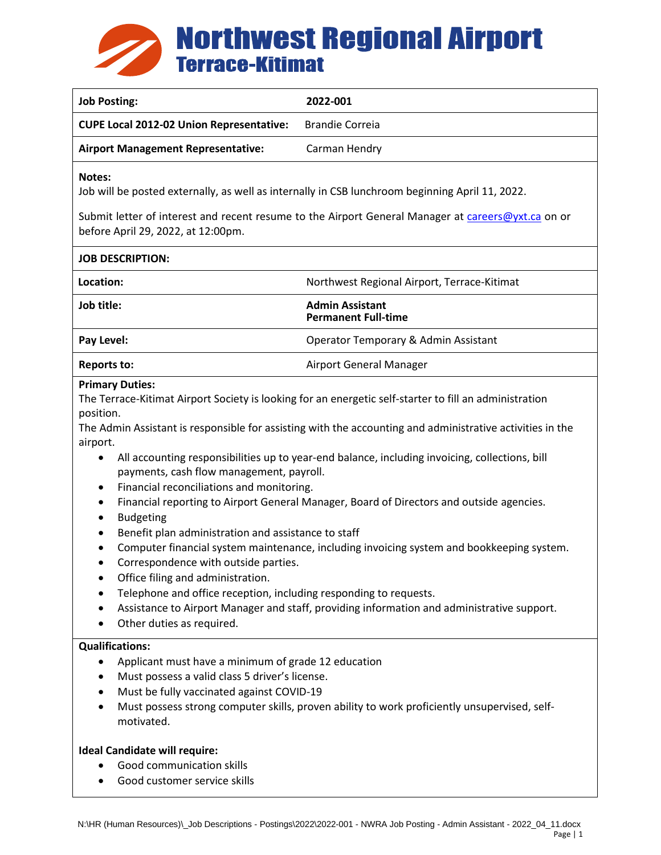

| <b>Job Posting:</b>                                                                                                                                                                                                                                                                                                                                                                                                                                                                                                                                                                                                                                                                                                                                                                                                                                                                                                                                                                                                                                                                              | 2022-001                                             |
|--------------------------------------------------------------------------------------------------------------------------------------------------------------------------------------------------------------------------------------------------------------------------------------------------------------------------------------------------------------------------------------------------------------------------------------------------------------------------------------------------------------------------------------------------------------------------------------------------------------------------------------------------------------------------------------------------------------------------------------------------------------------------------------------------------------------------------------------------------------------------------------------------------------------------------------------------------------------------------------------------------------------------------------------------------------------------------------------------|------------------------------------------------------|
| <b>CUPE Local 2012-02 Union Representative:</b>                                                                                                                                                                                                                                                                                                                                                                                                                                                                                                                                                                                                                                                                                                                                                                                                                                                                                                                                                                                                                                                  | <b>Brandie Correia</b>                               |
| <b>Airport Management Representative:</b>                                                                                                                                                                                                                                                                                                                                                                                                                                                                                                                                                                                                                                                                                                                                                                                                                                                                                                                                                                                                                                                        | Carman Hendry                                        |
| Notes:<br>Job will be posted externally, as well as internally in CSB lunchroom beginning April 11, 2022.                                                                                                                                                                                                                                                                                                                                                                                                                                                                                                                                                                                                                                                                                                                                                                                                                                                                                                                                                                                        |                                                      |
| Submit letter of interest and recent resume to the Airport General Manager at careers@yxt.ca on or<br>before April 29, 2022, at 12:00pm.                                                                                                                                                                                                                                                                                                                                                                                                                                                                                                                                                                                                                                                                                                                                                                                                                                                                                                                                                         |                                                      |
| <b>JOB DESCRIPTION:</b>                                                                                                                                                                                                                                                                                                                                                                                                                                                                                                                                                                                                                                                                                                                                                                                                                                                                                                                                                                                                                                                                          |                                                      |
| Location:                                                                                                                                                                                                                                                                                                                                                                                                                                                                                                                                                                                                                                                                                                                                                                                                                                                                                                                                                                                                                                                                                        | Northwest Regional Airport, Terrace-Kitimat          |
| Job title:                                                                                                                                                                                                                                                                                                                                                                                                                                                                                                                                                                                                                                                                                                                                                                                                                                                                                                                                                                                                                                                                                       | <b>Admin Assistant</b><br><b>Permanent Full-time</b> |
| Pay Level:                                                                                                                                                                                                                                                                                                                                                                                                                                                                                                                                                                                                                                                                                                                                                                                                                                                                                                                                                                                                                                                                                       | Operator Temporary & Admin Assistant                 |
| <b>Reports to:</b>                                                                                                                                                                                                                                                                                                                                                                                                                                                                                                                                                                                                                                                                                                                                                                                                                                                                                                                                                                                                                                                                               | Airport General Manager                              |
| <b>Primary Duties:</b><br>The Terrace-Kitimat Airport Society is looking for an energetic self-starter to fill an administration<br>position.<br>The Admin Assistant is responsible for assisting with the accounting and administrative activities in the<br>airport.<br>All accounting responsibilities up to year-end balance, including invoicing, collections, bill<br>$\bullet$<br>payments, cash flow management, payroll.<br>Financial reconciliations and monitoring.<br>$\bullet$<br>Financial reporting to Airport General Manager, Board of Directors and outside agencies.<br>$\bullet$<br><b>Budgeting</b><br>$\bullet$<br>Benefit plan administration and assistance to staff<br>Computer financial system maintenance, including invoicing system and bookkeeping system.<br>Correspondence with outside parties.<br>Office filing and administration.<br>$\bullet$<br>Telephone and office reception, including responding to requests.<br>Assistance to Airport Manager and staff, providing information and administrative support.<br>$\bullet$<br>Other duties as required. |                                                      |
| <b>Qualifications:</b><br>Applicant must have a minimum of grade 12 education<br>٠<br>Must possess a valid class 5 driver's license.<br>$\bullet$<br>Must be fully vaccinated against COVID-19<br>Must possess strong computer skills, proven ability to work proficiently unsupervised, self-<br>motivated.<br><b>Ideal Candidate will require:</b><br>Good communication skills<br>Good customer service skills                                                                                                                                                                                                                                                                                                                                                                                                                                                                                                                                                                                                                                                                                |                                                      |